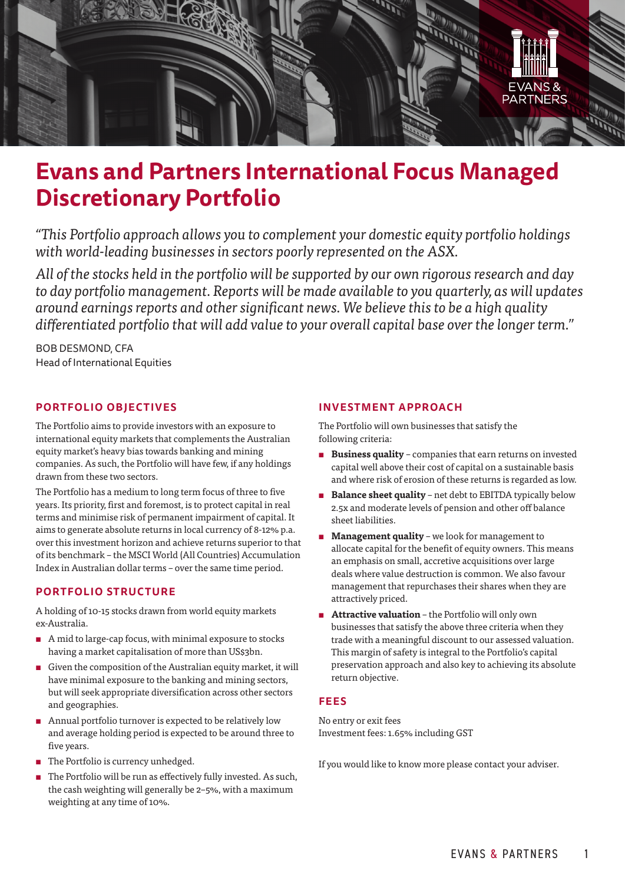

# **Evans and Partners International Focus Managed Discretionary Portfolio**

*"This Portfolio approach allows you to complement your domestic equity portfolio holdings with world-leading businesses in sectors poorly represented on the ASX.*

*All of the stocks held in the portfolio will be supported by our own rigorous research and day to day portfolio management. Reports will be made available to you quarterly, as will updates around earnings reports and other significant news. We believe this to be a high quality differentiated portfolio that will add value to your overall capital base over the longer term."*

BOB DESMOND, CFA Head of International Equities

## **PORTFOLIO OBJECTIVES**

The Portfolio aims to provide investors with an exposure to international equity markets that complements the Australian equity market's heavy bias towards banking and mining companies. As such, the Portfolio will have few, if any holdings drawn from these two sectors.

The Portfolio has a medium to long term focus of three to five years. Its priority, first and foremost, is to protect capital in real terms and minimise risk of permanent impairment of capital. It aims to generate absolute returns in local currency of 8-12% p.a. over this investment horizon and achieve returns superior to that of its benchmark – the MSCI World (All Countries) Accumulation Index in Australian dollar terms – over the same time period.

## **PORTFOLIO STRUCTURE**

A holding of 10-15 stocks drawn from world equity markets ex-Australia.

- $\blacksquare$  A mid to large-cap focus, with minimal exposure to stocks having a market capitalisation of more than US\$3bn.
- $\blacksquare$  Given the composition of the Australian equity market, it will have minimal exposure to the banking and mining sectors, but will seek appropriate diversification across other sectors and geographies.
- **n** Annual portfolio turnover is expected to be relatively low and average holding period is expected to be around three to five years.
- The Portfolio is currency unhedged.
- $\blacksquare$  The Portfolio will be run as effectively fully invested. As such, the cash weighting will generally be 2–5%, with a maximum weighting at any time of 10%.

## **INVESTMENT APPROACH**

The Portfolio will own businesses that satisfy the following criteria:

- **Example 3 Business quality** companies that earn returns on invested capital well above their cost of capital on a sustainable basis and where risk of erosion of these returns is regarded as low.
- **Example 3 Balance sheet quality** net debt to EBITDA typically below 2.5x and moderate levels of pension and other off balance sheet liabilities.
- **E** Management quality we look for management to allocate capital for the benefit of equity owners. This means an emphasis on small, accretive acquisitions over large deals where value destruction is common. We also favour management that repurchases their shares when they are attractively priced.
- **E** Attractive valuation the Portfolio will only own businesses that satisfy the above three criteria when they trade with a meaningful discount to our assessed valuation. This margin of safety is integral to the Portfolio's capital preservation approach and also key to achieving its absolute return objective.

### **FEES**

No entry or exit fees Investment fees: 1.65% including GST

If you would like to know more please contact your adviser.